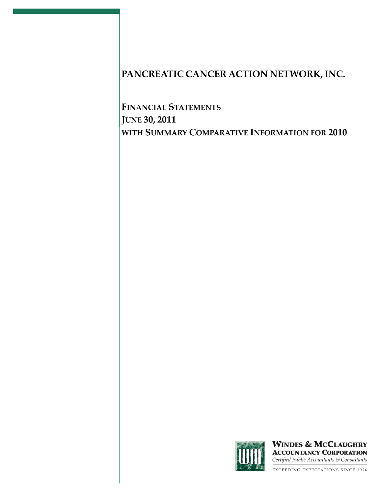**FINANCIAL STATEMENTS JUNE 30, 2011 WITH SUMMARY COMPARATIVE INFORMATION FOR 2010**



**WINDES & MCCLAUGHRY ACCOUNTANCY CORPORATION** Certified Public Accountants & Consultants

**EXCEEDING EXPECTATIONS SINCE 1926**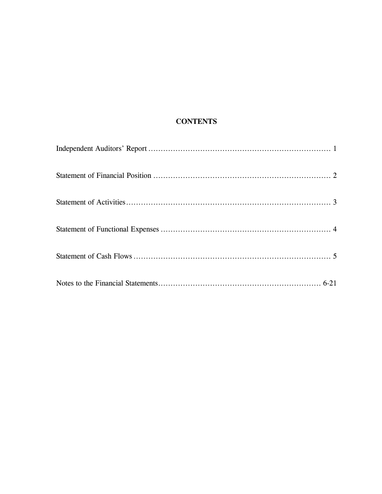# **CONTENTS**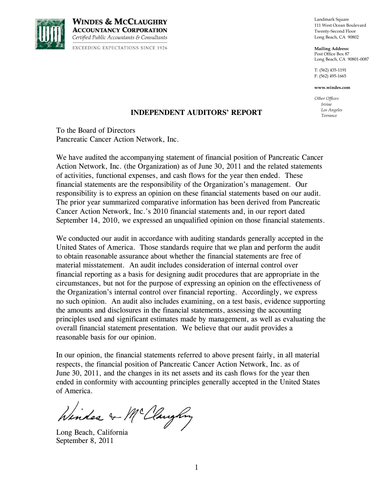

**WINDES & MCCLAUGHRY ACCOUNTANCY CORPORATION** Certified Public Accountants & Consultants

**EXCEEDING EXPECTATIONS SINCE 1926** 

Landmark Square 111 West Ocean Boulevard Twenty-Second Floor Long Beach, CA 90802

**Mailing Address:** Post Office Box 87 Long Beach, CA 90801-0087

T: (562) 435-1191 F: (562) 495-1665

**www.windes.com**

*Other Offices: Irvine Los Angeles Torrance*

# **INDEPENDENT AUDITORS' REPORT**

To the Board of Directors Pancreatic Cancer Action Network, Inc.

We have audited the accompanying statement of financial position of Pancreatic Cancer Action Network, Inc. (the Organization) as of June 30, 2011 and the related statements of activities, functional expenses, and cash flows for the year then ended. These financial statements are the responsibility of the Organization's management. Our responsibility is to express an opinion on these financial statements based on our audit. The prior year summarized comparative information has been derived from Pancreatic Cancer Action Network, Inc.'s 2010 financial statements and, in our report dated September 14, 2010, we expressed an unqualified opinion on those financial statements.

We conducted our audit in accordance with auditing standards generally accepted in the United States of America. Those standards require that we plan and perform the audit to obtain reasonable assurance about whether the financial statements are free of material misstatement. An audit includes consideration of internal control over financial reporting as a basis for designing audit procedures that are appropriate in the circumstances, but not for the purpose of expressing an opinion on the effectiveness of the Organization's internal control over financial reporting. Accordingly, we express no such opinion. An audit also includes examining, on a test basis, evidence supporting the amounts and disclosures in the financial statements, assessing the accounting principles used and significant estimates made by management, as well as evaluating the overall financial statement presentation. We believe that our audit provides a reasonable basis for our opinion.

In our opinion, the financial statements referred to above present fairly, in all material respects, the financial position of Pancreatic Cancer Action Network, Inc. as of June 30, 2011, and the changes in its net assets and its cash flows for the year then ended in conformity with accounting principles generally accepted in the United States of America.

Winder & McClaughny

Long Beach, California September 8, 2011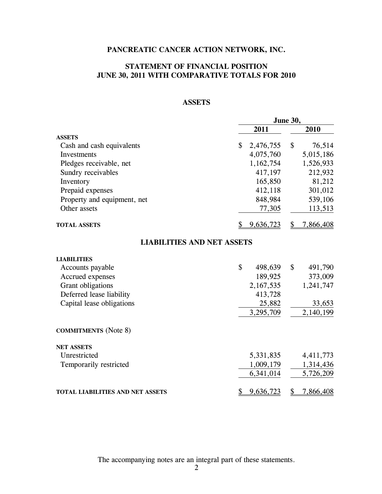# **STATEMENT OF FINANCIAL POSITION JUNE 30, 2011 WITH COMPARATIVE TOTALS FOR 2010**

# **ASSETS**

|                                         | June 30,        |                 |  |
|-----------------------------------------|-----------------|-----------------|--|
|                                         | 2011            | 2010            |  |
| <b>ASSETS</b>                           |                 |                 |  |
| Cash and cash equivalents               | \$<br>2,476,755 | \$<br>76,514    |  |
| Investments                             | 4,075,760       | 5,015,186       |  |
| Pledges receivable, net                 | 1,162,754       | 1,526,933       |  |
| Sundry receivables                      | 417,197         | 212,932         |  |
| Inventory                               | 165,850         | 81,212          |  |
| Prepaid expenses                        | 412,118         | 301,012         |  |
| Property and equipment, net             | 848,984         | 539,106         |  |
| Other assets                            | 77,305          | 113,513         |  |
| <b>TOTAL ASSETS</b>                     | 9,636,723       | 7,866,408<br>\$ |  |
| <b>LIABILITIES AND NET ASSETS</b>       |                 |                 |  |
| <b>LIABILITIES</b>                      |                 |                 |  |
| Accounts payable                        | \$<br>498,639   | \$<br>491,790   |  |
| Accrued expenses                        | 189,925         | 373,009         |  |
| Grant obligations                       | 2,167,535       | 1,241,747       |  |
| Deferred lease liability                | 413,728         |                 |  |
| Capital lease obligations               | 25,882          | 33,653          |  |
|                                         | 3,295,709       | 2,140,199       |  |
| <b>COMMITMENTS</b> (Note 8)             |                 |                 |  |
| <b>NET ASSETS</b>                       |                 |                 |  |
| Unrestricted                            | 5,331,835       | 4,411,773       |  |
| Temporarily restricted                  | 1,009,179       | 1,314,436       |  |
|                                         | 6,341,014       | 5,726,209       |  |
| <b>TOTAL LIABILITIES AND NET ASSETS</b> | 9,636,723<br>\$ | \$<br>7,866,408 |  |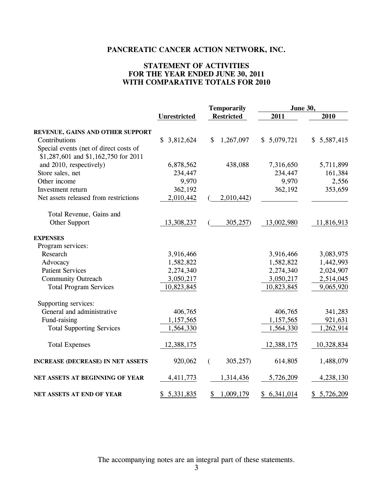# **STATEMENT OF ACTIVITIES FOR THE YEAR ENDED JUNE 30, 2011 WITH COMPARATIVE TOTALS FOR 2010**

|                                          |                     | <b>Temporarily</b> | June 30,        |             |  |
|------------------------------------------|---------------------|--------------------|-----------------|-------------|--|
|                                          | <b>Unrestricted</b> | <b>Restricted</b>  | 2011            | 2010        |  |
| REVENUE, GAINS AND OTHER SUPPORT         |                     |                    |                 |             |  |
| Contributions                            | \$<br>3,812,624     | \$<br>1,267,097    | \$5,079,721     | \$5,587,415 |  |
| Special events (net of direct costs of   |                     |                    |                 |             |  |
| \$1,287,601 and \$1,162,750 for 2011     |                     |                    |                 |             |  |
| and 2010, respectively)                  | 6,878,562           | 438,088            | 7,316,650       | 5,711,899   |  |
| Store sales, net                         | 234,447             |                    | 234,447         | 161,384     |  |
| Other income                             | 9,970               |                    | 9,970           | 2,556       |  |
| Investment return                        | 362,192             |                    | 362,192         | 353,659     |  |
| Net assets released from restrictions    | 2,010,442           | 2,010,442)         |                 |             |  |
| Total Revenue, Gains and                 |                     |                    |                 |             |  |
| Other Support                            | 13,308,237          | 305,257            | 13,002,980      | 11,816,913  |  |
| <b>EXPENSES</b>                          |                     |                    |                 |             |  |
| Program services:                        |                     |                    |                 |             |  |
| Research                                 | 3,916,466           |                    | 3,916,466       | 3,083,975   |  |
| Advocacy                                 | 1,582,822           |                    | 1,582,822       | 1,442,993   |  |
| <b>Patient Services</b>                  | 2,274,340           |                    | 2,274,340       | 2,024,907   |  |
| <b>Community Outreach</b>                | 3,050,217           |                    | 3,050,217       | 2,514,045   |  |
| <b>Total Program Services</b>            | 10,823,845          |                    | 10,823,845      | 9,065,920   |  |
| Supporting services:                     |                     |                    |                 |             |  |
| General and administrative               | 406,765             |                    | 406,765         | 341,283     |  |
| Fund-raising                             | 1,157,565           |                    | 1,157,565       | 921,631     |  |
| <b>Total Supporting Services</b>         | 1,564,330           |                    | 1,564,330       | 1,262,914   |  |
| <b>Total Expenses</b>                    | 12,388,175          |                    | 12,388,175      | 10,328,834  |  |
| <b>INCREASE (DECREASE) IN NET ASSETS</b> | 920,062             | 305,257<br>€       | 614,805         | 1,488,079   |  |
| NET ASSETS AT BEGINNING OF YEAR          | 4,411,773           | 1,314,436          | 5,726,209       | 4,238,130   |  |
| NET ASSETS AT END OF YEAR                | 5,331,835<br>\$     | 1,009,179<br>\$    | 6,341,014<br>\$ | \$5,726,209 |  |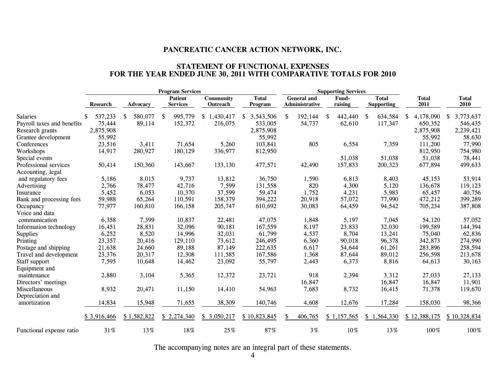### **STATEMENT OF FUNCTIONAL EXPENSES FOR THE YEAR ENDED JUNE 30, 2011 WITH COMPARATIVE TOTALS FOR 2010**

|                            |                 |               | <b>Program Services</b>           |                              |                         |                                      | <b>Supporting Services</b> |                                   |                      |                      |
|----------------------------|-----------------|---------------|-----------------------------------|------------------------------|-------------------------|--------------------------------------|----------------------------|-----------------------------------|----------------------|----------------------|
|                            | <b>Research</b> | Advocacy      | <b>Patient</b><br><b>Services</b> | <b>Community</b><br>Outreach | <b>Total</b><br>Program | <b>General</b> and<br>Administrative | Fund-<br>raising           | <b>Total</b><br><b>Supporting</b> | <b>Total</b><br>2011 | <b>Total</b><br>2010 |
| <b>Salaries</b>            | 537,233<br>\$   | 580,077<br>\$ | 995,779<br>\$                     | 1,430,417<br>\$              | 3,543,506               | 192,144<br>\$                        | 442,440<br>S               | 634,584<br>-S                     | 4,178,090<br>S       | 3,773,637<br>\$      |
| Payroll taxes and benefits | 75,444          | 89,114        | 152,372                           | 216,075                      | 533,005                 | 54,737                               | 62,610                     | 117,347                           | 650,352              | 546,435              |
| Research grants            | 2,875,908       |               |                                   |                              | 2,875,908               |                                      |                            |                                   | 2,875,908            | 2,239,421            |
| Grantee development        | 55,992          |               |                                   |                              | 55,992                  |                                      |                            |                                   | 55,992               | 58,630               |
| Conferences                | 23,516          | 3,411         | 71,654                            | 5,260                        | 103,841                 | 805                                  | 6,554                      | 7,359                             | 111,200              | 77,990               |
| Workshops                  | 14,917          | 280,927       | 180,129                           | 336,977                      | 812,950                 |                                      |                            |                                   | 812,950              | 754,980              |
| Special events             |                 |               |                                   |                              |                         |                                      | 51,038                     | 51,038                            | 51,038               | 78,441               |
| Professional services      | 50,414          | 150,360       | 143,667                           | 133,130                      | 477,571                 | 42,490                               | 157,833                    | 200,323                           | 677,894              | 499,633              |
| Accounting, legal          |                 |               |                                   |                              |                         |                                      |                            |                                   |                      |                      |
| and regulatory fees        | 5,186           | 8,015         | 9,737                             | 13,812                       | 36,750                  | 1,590                                | 6,813                      | 8,403                             | 45,153               | 53,914               |
| Advertising                | 2,766           | 78,477        | 42,716                            | 7,599                        | 131,558                 | 820                                  | 4,300                      | 5,120                             | 136,678              | 119,123              |
| Insurance                  | 5,452           | 6,053         | 10,370                            | 37,599                       | 59,474                  | 1,752                                | 4,231                      | 5,983                             | 65,457               | 40,756               |
| Bank and processing fees   | 59,988          | 65,264        | 110,591                           | 158,379                      | 394,222                 | 20,918                               | 57,072                     | 77,990                            | 472,212              | 399,289              |
| Occupancy                  | 77,977          | 160,810       | 166,158                           | 205,747                      | 610,692                 | 30,083                               | 64,459                     | 94,542                            | 705,234              | 387,808              |
| Voice and data             |                 |               |                                   |                              |                         |                                      |                            |                                   |                      |                      |
| communication              | 6,358           | 7,399         | 10,837                            | 22,481                       | 47,075                  | 1,848                                | 5,197                      | 7,045                             | 54,120               | 57,052               |
| Information technology     | 16,451          | 28,831        | 32,096                            | 90,181                       | 167,559                 | 8,197                                | 23,833                     | 32,030                            | 199,589              | 144,394              |
| Supplies                   | 6,252           | 8,520         | 14,996                            | 32,031                       | 61,799                  | 4,537                                | 8,704                      | 13,241                            | 75,040               | 62,836               |
| Printing                   | 23,357          | 20,416        | 129,110                           | 73,612                       | 246,495                 | 6,360                                | 90,018                     | 96,378                            | 342,873              | 274,990              |
| Postage and shipping       | 21,638          | 24,660        | 89,188                            | 87,149                       | 222,635                 | 6,617                                | 54,644                     | 61,261                            | 283,896              | 258,594              |
| Travel and development     | 23,376          | 20,317        | 12,308                            | 111,585                      | 167,586                 | 1,368                                | 87,644                     | 89,012                            | 256,598              | 213,678              |
| Staff support              | 7,595           | 10,648        | 14,462                            | 23,092                       | 55,797                  | 2,443                                | 6,373                      | 8,816                             | 64,613               | 30,163               |
| Equipment and              |                 |               |                                   |                              |                         |                                      |                            |                                   |                      |                      |
| maintenance                | 2,880           | 3,104         | 5,365                             | 12,372                       | 23,721                  | 918                                  | 2,394                      | 3,312                             | 27,033               | 27,133               |
| Directors' meetings        |                 |               |                                   |                              |                         | 16,847                               |                            | 16,847                            | 16,847               | 11,901               |
| Miscellaneous              | 8,932           | 20,471        | 11,150                            | 14,410                       | 54,963                  | 7,683                                | 8,732                      | 16,415                            | 71,378               | 119,670              |
| Depreciation and           |                 |               |                                   |                              |                         |                                      |                            |                                   |                      |                      |
| amortization               | 14,834          | 15,948        | 71,655                            | 38,309                       | 140,746                 | 4,608                                | 12,676                     | 17,284                            | 158,030              | 98,366               |
|                            | \$3,916,466     | \$1,582,822   | \$2,274,340                       | \$3,050,217                  | \$10,823,845            | 406,765                              | \$1,157,565                | \$1,564,330                       | \$12,388,175         | \$10,328,834         |
| Functional expense ratio   | 31%             | 13%           | 18%                               | 25%                          | 87%                     | 3%                                   | 10%                        | 13%                               | 100%                 | 100%                 |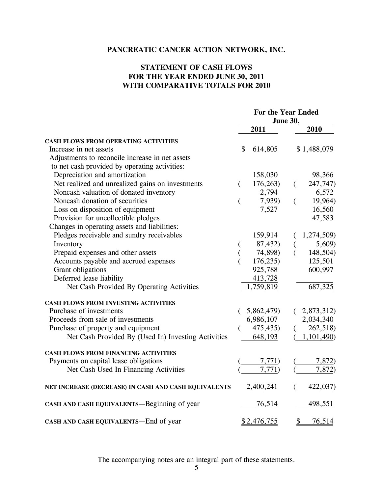# **STATEMENT OF CASH FLOWS FOR THE YEAR ENDED JUNE 30, 2011 WITH COMPARATIVE TOTALS FOR 2010**

|                                                      |                    | For the Year Ended<br><b>June 30,</b> |
|------------------------------------------------------|--------------------|---------------------------------------|
|                                                      | 2011               | 2010                                  |
| <b>CASH FLOWS FROM OPERATING ACTIVITIES</b>          |                    |                                       |
| Increase in net assets                               | \$<br>614,805      | \$1,488,079                           |
| Adjustments to reconcile increase in net assets      |                    |                                       |
| to net cash provided by operating activities:        |                    |                                       |
| Depreciation and amortization                        | 158,030            | 98,366                                |
| Net realized and unrealized gains on investments     | 176,263<br>€       | 247,747)<br>€                         |
| Noncash valuation of donated inventory               | 2,794              | 6,572                                 |
| Noncash donation of securities                       | 7,939)<br>(        | 19,964)<br>(                          |
| Loss on disposition of equipment                     | 7,527              | 16,560                                |
| Provision for uncollectible pledges                  |                    | 47,583                                |
| Changes in operating assets and liabilities:         |                    |                                       |
| Pledges receivable and sundry receivables            | 159,914            | 1,274,509)                            |
| Inventory                                            | 87,432)            | 5,609)                                |
| Prepaid expenses and other assets                    | 74,898)            | 148,504)                              |
| Accounts payable and accrued expenses                | 176,235            | 125,501                               |
| Grant obligations                                    | 925,788            | 600,997                               |
| Deferred lease liability                             | 413,728            |                                       |
| Net Cash Provided By Operating Activities            | 1,759,819          | 687,325                               |
| CASH FLOWS FROM INVESTING ACTIVITIES                 |                    |                                       |
| Purchase of investments                              | 5,862,479)         | 2,873,312)                            |
| Proceeds from sale of investments                    | 6,986,107          | 2,034,340                             |
| Purchase of property and equipment                   | 475,435)           | 262,518)                              |
| Net Cash Provided By (Used In) Investing Activities  | 648,193            | 1,101,490)                            |
| <b>CASH FLOWS FROM FINANCING ACTIVITIES</b>          |                    |                                       |
| Payments on capital lease obligations                | 7,771)             | 7,872)                                |
| Net Cash Used In Financing Activities                | 7,771)             | 7,872)                                |
| NET INCREASE (DECREASE) IN CASH AND CASH EQUIVALENTS | 2,400,241          | 422,037)<br>€                         |
| CASH AND CASH EQUIVALENTS—Beginning of year          | 76,514             | 498,551                               |
| CASH AND CASH EQUIVALENTS-End of year                | <u>\$2,476,755</u> | \$<br>76,514                          |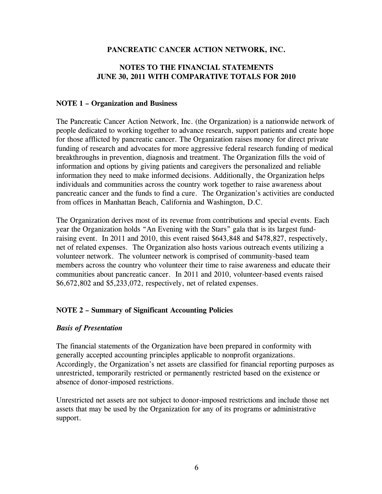# **NOTES TO THE FINANCIAL STATEMENTS JUNE 30, 2011 WITH COMPARATIVE TOTALS FOR 2010**

# **NOTE 1 – Organization and Business**

The Pancreatic Cancer Action Network, Inc. (the Organization) is a nationwide network of people dedicated to working together to advance research, support patients and create hope for those afflicted by pancreatic cancer. The Organization raises money for direct private funding of research and advocates for more aggressive federal research funding of medical breakthroughs in prevention, diagnosis and treatment. The Organization fills the void of information and options by giving patients and caregivers the personalized and reliable information they need to make informed decisions. Additionally, the Organization helps individuals and communities across the country work together to raise awareness about pancreatic cancer and the funds to find a cure. The Organization's activities are conducted from offices in Manhattan Beach, California and Washington, D.C.

The Organization derives most of its revenue from contributions and special events. Each year the Organization holds "An Evening with the Stars" gala that is its largest fundraising event. In 2011 and 2010, this event raised \$643,848 and \$478,827, respectively, net of related expenses. The Organization also hosts various outreach events utilizing a volunteer network. The volunteer network is comprised of community-based team members across the country who volunteer their time to raise awareness and educate their communities about pancreatic cancer. In 2011 and 2010, volunteer-based events raised \$6,672,802 and \$5,233,072, respectively, net of related expenses.

# **NOTE 2 – Summary of Significant Accounting Policies**

### *Basis of Presentation*

The financial statements of the Organization have been prepared in conformity with generally accepted accounting principles applicable to nonprofit organizations. Accordingly, the Organization's net assets are classified for financial reporting purposes as unrestricted, temporarily restricted or permanently restricted based on the existence or absence of donor-imposed restrictions.

Unrestricted net assets are not subject to donor-imposed restrictions and include those net assets that may be used by the Organization for any of its programs or administrative support.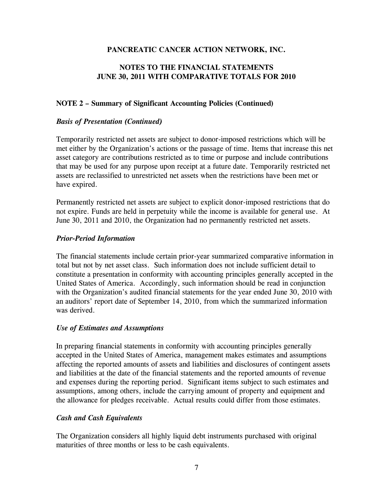# **NOTES TO THE FINANCIAL STATEMENTS JUNE 30, 2011 WITH COMPARATIVE TOTALS FOR 2010**

# **NOTE 2 – Summary of Significant Accounting Policies (Continued)**

# *Basis of Presentation (Continued)*

Temporarily restricted net assets are subject to donor-imposed restrictions which will be met either by the Organization's actions or the passage of time. Items that increase this net asset category are contributions restricted as to time or purpose and include contributions that may be used for any purpose upon receipt at a future date. Temporarily restricted net assets are reclassified to unrestricted net assets when the restrictions have been met or have expired.

Permanently restricted net assets are subject to explicit donor-imposed restrictions that do not expire. Funds are held in perpetuity while the income is available for general use. At June 30, 2011 and 2010, the Organization had no permanently restricted net assets.

# *Prior-Period Information*

The financial statements include certain prior-year summarized comparative information in total but not by net asset class. Such information does not include sufficient detail to constitute a presentation in conformity with accounting principles generally accepted in the United States of America. Accordingly, such information should be read in conjunction with the Organization's audited financial statements for the year ended June 30, 2010 with an auditors' report date of September 14, 2010, from which the summarized information was derived.

# *Use of Estimates and Assumptions*

In preparing financial statements in conformity with accounting principles generally accepted in the United States of America, management makes estimates and assumptions affecting the reported amounts of assets and liabilities and disclosures of contingent assets and liabilities at the date of the financial statements and the reported amounts of revenue and expenses during the reporting period. Significant items subject to such estimates and assumptions, among others, include the carrying amount of property and equipment and the allowance for pledges receivable. Actual results could differ from those estimates.

# *Cash and Cash Equivalents*

The Organization considers all highly liquid debt instruments purchased with original maturities of three months or less to be cash equivalents.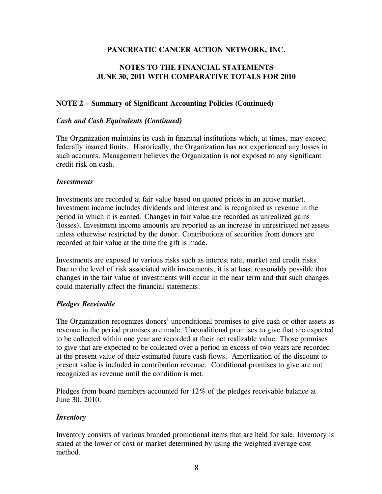# **NOTES TO THE FINANCIAL STATEMENTS JUNE 30, 2011 WITH COMPARATIVE TOTALS FOR 2010**

# **NOTE 2 – Summary of Significant Accounting Policies (Continued)**

# *Cash and Cash Equivalents (Continued)*

The Organization maintains its cash in financial institutions which, at times, may exceed federally insured limits. Historically, the Organization has not experienced any losses in such accounts. Management believes the Organization is not exposed to any significant credit risk on cash.

### *Investments*

Investments are recorded at fair value based on quoted prices in an active market. Investment income includes dividends and interest and is recognized as revenue in the period in which it is earned. Changes in fair value are recorded as unrealized gains (losses). Investment income amounts are reported as an increase in unrestricted net assets unless otherwise restricted by the donor. Contributions of securities from donors are recorded at fair value at the time the gift is made.

Investments are exposed to various risks such as interest rate, market and credit risks. Due to the level of risk associated with investments, it is at least reasonably possible that changes in the fair value of investments will occur in the near term and that such changes could materially affect the financial statements.

# *Pledges Receivable*

The Organization recognizes donors' unconditional promises to give cash or other assets as revenue in the period promises are made. Unconditional promises to give that are expected to be collected within one year are recorded at their net realizable value. Those promises to give that are expected to be collected over a period in excess of two years are recorded at the present value of their estimated future cash flows. Amortization of the discount to present value is included in contribution revenue. Conditional promises to give are not recognized as revenue until the condition is met.

Pledges from board members accounted for 12% of the pledges receivable balance at June 30, 2010.

# *Inventory*

Inventory consists of various branded promotional items that are held for sale. Inventory is stated at the lower of cost or market determined by using the weighted average cost method.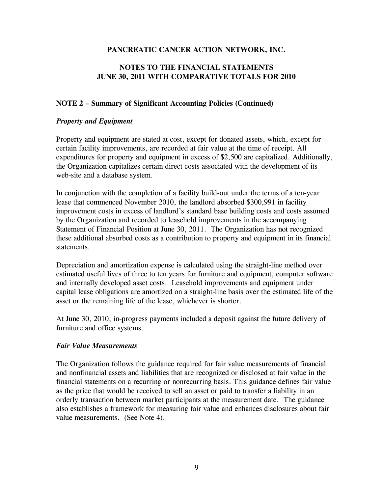# **NOTES TO THE FINANCIAL STATEMENTS JUNE 30, 2011 WITH COMPARATIVE TOTALS FOR 2010**

# **NOTE 2 – Summary of Significant Accounting Policies (Continued)**

### *Property and Equipment*

Property and equipment are stated at cost, except for donated assets, which, except for certain facility improvements, are recorded at fair value at the time of receipt. All expenditures for property and equipment in excess of \$2,500 are capitalized. Additionally, the Organization capitalizes certain direct costs associated with the development of its web-site and a database system.

In conjunction with the completion of a facility build-out under the terms of a ten-year lease that commenced November 2010, the landlord absorbed \$300,991 in facility improvement costs in excess of landlord's standard base building costs and costs assumed by the Organization and recorded to leasehold improvements in the accompanying Statement of Financial Position at June 30, 2011. The Organization has not recognized these additional absorbed costs as a contribution to property and equipment in its financial statements.

Depreciation and amortization expense is calculated using the straight-line method over estimated useful lives of three to ten years for furniture and equipment, computer software and internally developed asset costs. Leasehold improvements and equipment under capital lease obligations are amortized on a straight-line basis over the estimated life of the asset or the remaining life of the lease, whichever is shorter.

At June 30, 2010, in-progress payments included a deposit against the future delivery of furniture and office systems.

### *Fair Value Measurements*

The Organization follows the guidance required for fair value measurements of financial and nonfinancial assets and liabilities that are recognized or disclosed at fair value in the financial statements on a recurring or nonrecurring basis. This guidance defines fair value as the price that would be received to sell an asset or paid to transfer a liability in an orderly transaction between market participants at the measurement date. The guidance also establishes a framework for measuring fair value and enhances disclosures about fair value measurements. (See Note 4).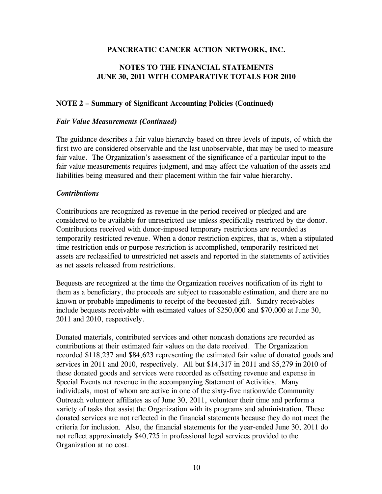# **NOTES TO THE FINANCIAL STATEMENTS JUNE 30, 2011 WITH COMPARATIVE TOTALS FOR 2010**

# **NOTE 2 – Summary of Significant Accounting Policies (Continued)**

### *Fair Value Measurements (Continued)*

The guidance describes a fair value hierarchy based on three levels of inputs, of which the first two are considered observable and the last unobservable, that may be used to measure fair value. The Organization's assessment of the significance of a particular input to the fair value measurements requires judgment, and may affect the valuation of the assets and liabilities being measured and their placement within the fair value hierarchy.

### *Contributions*

Contributions are recognized as revenue in the period received or pledged and are considered to be available for unrestricted use unless specifically restricted by the donor. Contributions received with donor-imposed temporary restrictions are recorded as temporarily restricted revenue. When a donor restriction expires, that is, when a stipulated time restriction ends or purpose restriction is accomplished, temporarily restricted net assets are reclassified to unrestricted net assets and reported in the statements of activities as net assets released from restrictions.

Bequests are recognized at the time the Organization receives notification of its right to them as a beneficiary, the proceeds are subject to reasonable estimation, and there are no known or probable impediments to receipt of the bequested gift. Sundry receivables include bequests receivable with estimated values of \$250,000 and \$70,000 at June 30, 2011 and 2010, respectively.

Donated materials, contributed services and other noncash donations are recorded as contributions at their estimated fair values on the date received. The Organization recorded \$118,237 and \$84,623 representing the estimated fair value of donated goods and services in 2011 and 2010, respectively. All but \$14,317 in 2011 and \$5,279 in 2010 of these donated goods and services were recorded as offsetting revenue and expense in Special Events net revenue in the accompanying Statement of Activities. Many individuals, most of whom are active in one of the sixty-five nationwide Community Outreach volunteer affiliates as of June 30, 2011, volunteer their time and perform a variety of tasks that assist the Organization with its programs and administration. These donated services are not reflected in the financial statements because they do not meet the criteria for inclusion. Also, the financial statements for the year-ended June 30, 2011 do not reflect approximately \$40,725 in professional legal services provided to the Organization at no cost.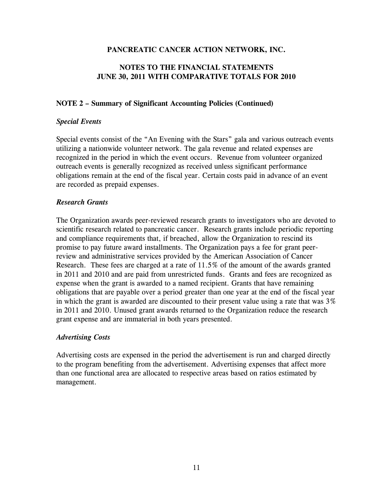# **NOTES TO THE FINANCIAL STATEMENTS JUNE 30, 2011 WITH COMPARATIVE TOTALS FOR 2010**

# **NOTE 2 – Summary of Significant Accounting Policies (Continued)**

### *Special Events*

Special events consist of the "An Evening with the Stars" gala and various outreach events utilizing a nationwide volunteer network. The gala revenue and related expenses are recognized in the period in which the event occurs. Revenue from volunteer organized outreach events is generally recognized as received unless significant performance obligations remain at the end of the fiscal year. Certain costs paid in advance of an event are recorded as prepaid expenses.

### *Research Grants*

The Organization awards peer-reviewed research grants to investigators who are devoted to scientific research related to pancreatic cancer. Research grants include periodic reporting and compliance requirements that, if breached, allow the Organization to rescind its promise to pay future award installments. The Organization pays a fee for grant peerreview and administrative services provided by the American Association of Cancer Research. These fees are charged at a rate of 11.5% of the amount of the awards granted in 2011 and 2010 and are paid from unrestricted funds. Grants and fees are recognized as expense when the grant is awarded to a named recipient. Grants that have remaining obligations that are payable over a period greater than one year at the end of the fiscal year in which the grant is awarded are discounted to their present value using a rate that was 3% in 2011 and 2010. Unused grant awards returned to the Organization reduce the research grant expense and are immaterial in both years presented.

# *Advertising Costs*

Advertising costs are expensed in the period the advertisement is run and charged directly to the program benefiting from the advertisement. Advertising expenses that affect more than one functional area are allocated to respective areas based on ratios estimated by management.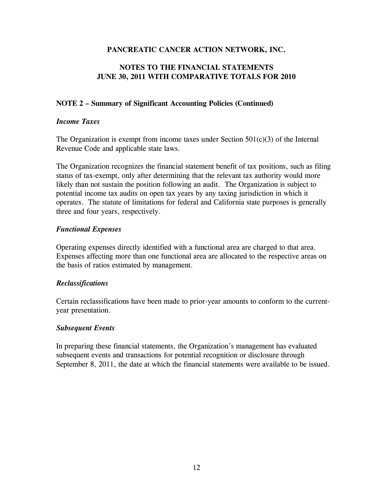# **NOTES TO THE FINANCIAL STATEMENTS JUNE 30, 2011 WITH COMPARATIVE TOTALS FOR 2010**

# **NOTE 2 – Summary of Significant Accounting Policies (Continued)**

# *Income Taxes*

The Organization is exempt from income taxes under Section  $501(c)(3)$  of the Internal Revenue Code and applicable state laws.

The Organization recognizes the financial statement benefit of tax positions, such as filing status of tax-exempt, only after determining that the relevant tax authority would more likely than not sustain the position following an audit. The Organization is subject to potential income tax audits on open tax years by any taxing jurisdiction in which it operates. The statute of limitations for federal and California state purposes is generally three and four years, respectively.

# *Functional Expenses*

Operating expenses directly identified with a functional area are charged to that area. Expenses affecting more than one functional area are allocated to the respective areas on the basis of ratios estimated by management.

# *Reclassifications*

Certain reclassifications have been made to prior-year amounts to conform to the currentyear presentation.

### *Subsequent Events*

In preparing these financial statements, the Organization's management has evaluated subsequent events and transactions for potential recognition or disclosure through September 8, 2011, the date at which the financial statements were available to be issued.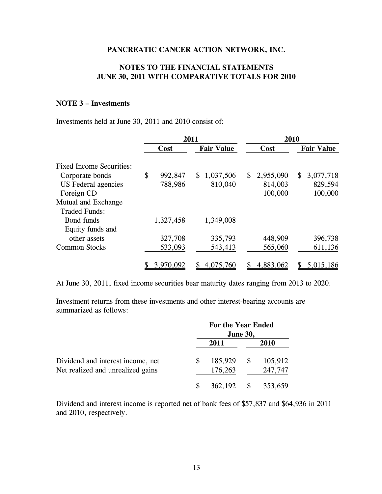# **NOTES TO THE FINANCIAL STATEMENTS JUNE 30, 2011 WITH COMPARATIVE TOTALS FOR 2010**

# **NOTE 3 – Investments**

Investments held at June 30, 2011 and 2010 consist of:

|                                 | 2011 |           |                   |      | 2010      |                   |           |
|---------------------------------|------|-----------|-------------------|------|-----------|-------------------|-----------|
|                                 | Cost |           | <b>Fair Value</b> | Cost |           | <b>Fair Value</b> |           |
| <b>Fixed Income Securities:</b> |      |           |                   |      |           |                   |           |
| Corporate bonds                 | \$   | 992,847   | 1,037,506<br>S.   | S.   | 2,955,090 | <sup>S</sup>      | 3,077,718 |
| US Federal agencies             |      | 788,986   | 810,040           |      | 814,003   |                   | 829,594   |
| Foreign CD                      |      |           |                   |      | 100,000   |                   | 100,000   |
| Mutual and Exchange             |      |           |                   |      |           |                   |           |
| <b>Traded Funds:</b>            |      |           |                   |      |           |                   |           |
| Bond funds                      |      | 1,327,458 | 1,349,008         |      |           |                   |           |
| Equity funds and                |      |           |                   |      |           |                   |           |
| other assets                    |      | 327,708   | 335,793           |      | 448,909   |                   | 396,738   |
| <b>Common Stocks</b>            |      | 533,093   | 543,413           |      | 565,060   |                   | 611,136   |
|                                 |      | 3,970,092 | 4,075,760         | S    | 4,883,062 | \$                | 5,015,186 |

At June 30, 2011, fixed income securities bear maturity dates ranging from 2013 to 2020.

Investment returns from these investments and other interest-bearing accounts are summarized as follows:

|                                   |   | For the Year Ended<br><b>June 30,</b> |    |             |
|-----------------------------------|---|---------------------------------------|----|-------------|
|                                   |   | 2011                                  |    | <b>2010</b> |
| Dividend and interest income, net | S | 185,929                               | -S | 105,912     |
| Net realized and unrealized gains |   | 176,263                               |    | 247,747     |
|                                   |   | 362,192                               |    |             |

Dividend and interest income is reported net of bank fees of \$57,837 and \$64,936 in 2011 and 2010, respectively.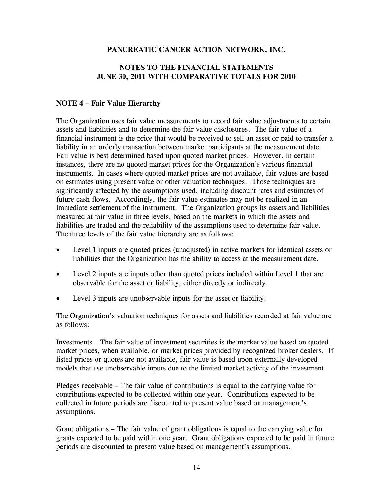# **NOTES TO THE FINANCIAL STATEMENTS JUNE 30, 2011 WITH COMPARATIVE TOTALS FOR 2010**

# **NOTE 4 – Fair Value Hierarchy**

The Organization uses fair value measurements to record fair value adjustments to certain assets and liabilities and to determine the fair value disclosures. The fair value of a financial instrument is the price that would be received to sell an asset or paid to transfer a liability in an orderly transaction between market participants at the measurement date. Fair value is best determined based upon quoted market prices. However, in certain instances, there are no quoted market prices for the Organization's various financial instruments. In cases where quoted market prices are not available, fair values are based on estimates using present value or other valuation techniques. Those techniques are significantly affected by the assumptions used, including discount rates and estimates of future cash flows. Accordingly, the fair value estimates may not be realized in an immediate settlement of the instrument. The Organization groups its assets and liabilities measured at fair value in three levels, based on the markets in which the assets and liabilities are traded and the reliability of the assumptions used to determine fair value. The three levels of the fair value hierarchy are as follows:

- Level 1 inputs are quoted prices (unadjusted) in active markets for identical assets or liabilities that the Organization has the ability to access at the measurement date.
- Level 2 inputs are inputs other than quoted prices included within Level 1 that are observable for the asset or liability, either directly or indirectly.
- Level 3 inputs are unobservable inputs for the asset or liability.

The Organization's valuation techniques for assets and liabilities recorded at fair value are as follows:

Investments – The fair value of investment securities is the market value based on quoted market prices, when available, or market prices provided by recognized broker dealers. If listed prices or quotes are not available, fair value is based upon externally developed models that use unobservable inputs due to the limited market activity of the investment.

Pledges receivable – The fair value of contributions is equal to the carrying value for contributions expected to be collected within one year. Contributions expected to be collected in future periods are discounted to present value based on management's assumptions.

Grant obligations – The fair value of grant obligations is equal to the carrying value for grants expected to be paid within one year. Grant obligations expected to be paid in future periods are discounted to present value based on management's assumptions.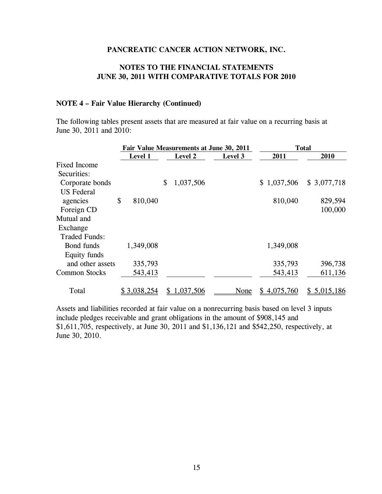# **NOTES TO THE FINANCIAL STATEMENTS JUNE 30, 2011 WITH COMPARATIVE TOTALS FOR 2010**

#### **NOTE 4 – Fair Value Hierarchy (Continued)**

The following tables present assets that are measured at fair value on a recurring basis at June 30, 2011 and 2010:

|                      |                | Fair Value Measurements at June 30, 2011 | <b>Total</b> |                 |             |
|----------------------|----------------|------------------------------------------|--------------|-----------------|-------------|
|                      | <b>Level 1</b> | <b>Level 2</b>                           | Level 3      | 2011            | 2010        |
| <b>Fixed Income</b>  |                |                                          |              |                 |             |
| Securities:          |                |                                          |              |                 |             |
| Corporate bonds      |                | \$<br>1,037,506                          |              | \$1,037,506     | \$3,077,718 |
| <b>US</b> Federal    |                |                                          |              |                 |             |
| agencies             | \$<br>810,040  |                                          |              | 810,040         | 829,594     |
| Foreign CD           |                |                                          |              |                 | 100,000     |
| Mutual and           |                |                                          |              |                 |             |
| Exchange             |                |                                          |              |                 |             |
| <b>Traded Funds:</b> |                |                                          |              |                 |             |
| Bond funds           | 1,349,008      |                                          |              | 1,349,008       |             |
| Equity funds         |                |                                          |              |                 |             |
| and other assets     | 335,793        |                                          |              | 335,793         | 396,738     |
| <b>Common Stocks</b> | 543,413        |                                          |              | 543,413         | 611,136     |
| Total                | \$3,038,254    | 1,037,506                                | None         | 4,075,760<br>S. | \$5,015,186 |

Assets and liabilities recorded at fair value on a nonrecurring basis based on level 3 inputs include pledges receivable and grant obligations in the amount of \$908,145 and \$1,611,705, respectively, at June 30, 2011 and \$1,136,121 and \$542,250, respectively, at June 30, 2010.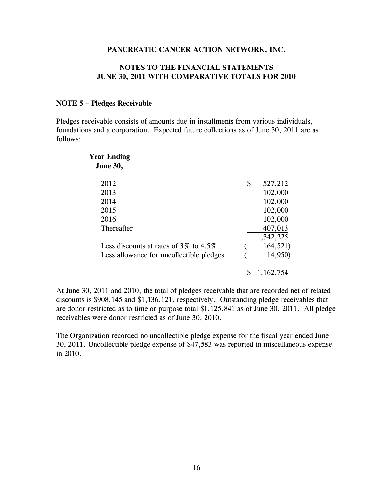### **NOTES TO THE FINANCIAL STATEMENTS JUNE 30, 2011 WITH COMPARATIVE TOTALS FOR 2010**

### **NOTE 5 – Pledges Receivable**

Pledges receivable consists of amounts due in installments from various individuals, foundations and a corporation. Expected future collections as of June 30, 2011 are as follows:

| <b>Year Ending</b>                          |               |
|---------------------------------------------|---------------|
| <b>June 30,</b>                             |               |
| 2012                                        | \$<br>527,212 |
| 2013                                        | 102,000       |
| 2014                                        | 102,000       |
| 2015                                        | 102,000       |
| 2016                                        | 102,000       |
| Thereafter                                  | 407,013       |
|                                             | 1,342,225     |
| Less discounts at rates of $3\%$ to $4.5\%$ | 164,521)      |
| Less allowance for uncollectible pledges    | 14,950)       |
|                                             | 1.162.754     |

At June 30, 2011 and 2010, the total of pledges receivable that are recorded net of related discounts is \$908,145 and \$1,136,121, respectively. Outstanding pledge receivables that are donor restricted as to time or purpose total \$1,125,841 as of June 30, 2011. All pledge receivables were donor restricted as of June 30, 2010.

The Organization recorded no uncollectible pledge expense for the fiscal year ended June 30, 2011. Uncollectible pledge expense of \$47,583 was reported in miscellaneous expense in 2010.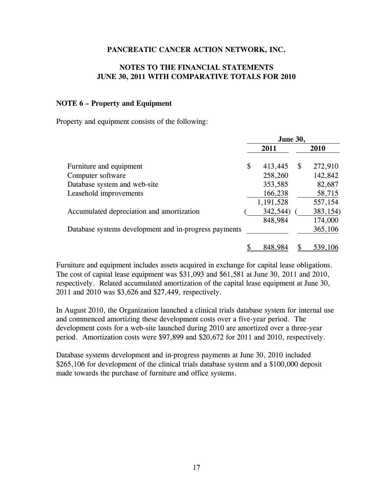# **NOTES TO THE FINANCIAL STATEMENTS JUNE 30, 2011 WITH COMPARATIVE TOTALS FOR 2010**

### **NOTE 6 – Property and Equipment**

Property and equipment consists of the following:

|                                                       |      | <b>June 30,</b> |   |          |
|-------------------------------------------------------|------|-----------------|---|----------|
|                                                       | 2011 |                 |   | 2010     |
| Furniture and equipment                               | \$   | 413,445         | S | 272,910  |
| Computer software                                     |      | 258,260         |   | 142,842  |
| Database system and web-site                          |      | 353,585         |   | 82,687   |
| Leasehold improvements                                |      | 166,238         |   | 58,715   |
|                                                       |      | 1,191,528       |   | 557,154  |
| Accumulated depreciation and amortization             |      | 342,544)        |   | 383,154) |
|                                                       |      | 848,984         |   | 174,000  |
| Database systems development and in-progress payments |      |                 |   | 365,106  |
|                                                       |      | 848.98          |   | 539,1    |

Furniture and equipment includes assets acquired in exchange for capital lease obligations. The cost of capital lease equipment was \$31,093 and \$61,581 at June 30, 2011 and 2010, respectively. Related accumulated amortization of the capital lease equipment at June 30, 2011 and 2010 was \$3,626 and \$27,449, respectively.

In August 2010, the Organization launched a clinical trials database system for internal use and commenced amortizing these development costs over a five-year period. The development costs for a web-site launched during 2010 are amortized over a three-year period. Amortization costs were \$97,899 and \$20,672 for 2011 and 2010, respectively.

Database systems development and in-progress payments at June 30, 2010 included \$265,106 for development of the clinical trials database system and a \$100,000 deposit made towards the purchase of furniture and office systems.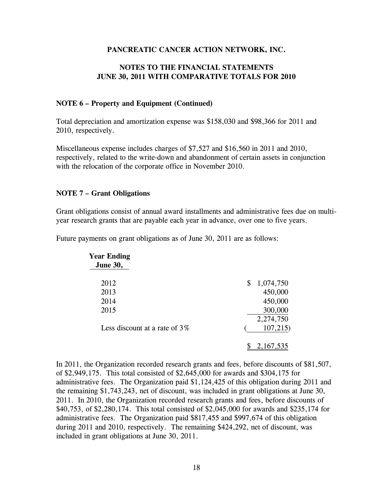# **NOTES TO THE FINANCIAL STATEMENTS JUNE 30, 2011 WITH COMPARATIVE TOTALS FOR 2010**

### **NOTE 6 – Property and Equipment (Continued)**

Total depreciation and amortization expense was \$158,030 and \$98,366 for 2011 and 2010, respectively.

Miscellaneous expense includes charges of \$7,527 and \$16,560 in 2011 and 2010, respectively, related to the write-down and abandonment of certain assets in conjunction with the relocation of the corporate office in November 2010.

# **NOTE 7 – Grant Obligations**

Grant obligations consist of annual award installments and administrative fees due on multiyear research grants that are payable each year in advance, over one to five years.

| Year Ending<br><b>June 30,</b>   |                 |
|----------------------------------|-----------------|
| 2012                             | \$<br>1,074,750 |
| 2013                             | 450,000         |
| 2014                             | 450,000         |
| 2015                             | 300,000         |
|                                  | 2,274,750       |
| Less discount at a rate of $3\%$ | 107,215         |
|                                  |                 |

Future payments on grant obligations as of June 30, 2011 are as follows:

In 2011, the Organization recorded research grants and fees, before discounts of \$81,507, of \$2,949,175. This total consisted of \$2,645,000 for awards and \$304,175 for administrative fees. The Organization paid \$1,124,425 of this obligation during 2011 and the remaining \$1,743,243, net of discount, was included in grant obligations at June 30, 2011. In 2010, the Organization recorded research grants and fees, before discounts of \$40,753, of \$2,280,174. This total consisted of \$2,045,000 for awards and \$235,174 for administrative fees. The Organization paid \$817,455 and \$997,674 of this obligation during 2011 and 2010, respectively. The remaining \$424,292, net of discount, was included in grant obligations at June 30, 2011.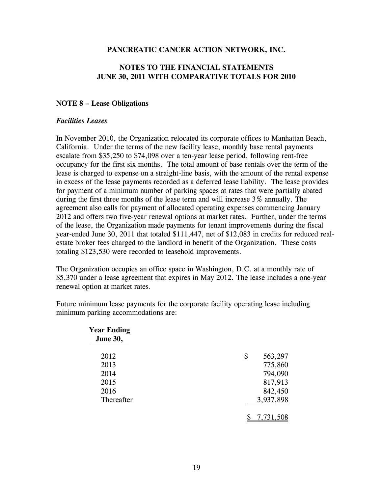# **NOTES TO THE FINANCIAL STATEMENTS JUNE 30, 2011 WITH COMPARATIVE TOTALS FOR 2010**

### **NOTE 8 – Lease Obligations**

### *Facilities Leases*

In November 2010, the Organization relocated its corporate offices to Manhattan Beach, California. Under the terms of the new facility lease, monthly base rental payments escalate from \$35,250 to \$74,098 over a ten-year lease period, following rent-free occupancy for the first six months. The total amount of base rentals over the term of the lease is charged to expense on a straight-line basis, with the amount of the rental expense in excess of the lease payments recorded as a deferred lease liability. The lease provides for payment of a minimum number of parking spaces at rates that were partially abated during the first three months of the lease term and will increase 3% annually. The agreement also calls for payment of allocated operating expenses commencing January 2012 and offers two five-year renewal options at market rates. Further, under the terms of the lease, the Organization made payments for tenant improvements during the fiscal year-ended June 30, 2011 that totaled \$111,447, net of \$12,083 in credits for reduced realestate broker fees charged to the landlord in benefit of the Organization. These costs totaling \$123,530 were recorded to leasehold improvements.

The Organization occupies an office space in Washington, D.C. at a monthly rate of \$5,370 under a lease agreement that expires in May 2012. The lease includes a one-year renewal option at market rates.

Future minimum lease payments for the corporate facility operating lease including minimum parking accommodations are:

| <b>Year Ending</b><br><b>June 30,</b> |               |
|---------------------------------------|---------------|
| 2012                                  | \$<br>563,297 |
| 2013                                  | 775,860       |
| 2014                                  | 794,090       |
| 2015                                  | 817,913       |
| 2016                                  | 842,450       |
| Thereafter                            | 3,937,898     |
|                                       | 7,731,508     |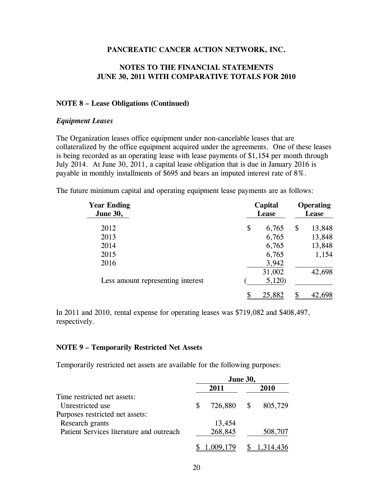### **NOTES TO THE FINANCIAL STATEMENTS JUNE 30, 2011 WITH COMPARATIVE TOTALS FOR 2010**

### **NOTE 8 – Lease Obligations (Continued)**

#### *Equipment Leases*

The Organization leases office equipment under non-cancelable leases that are collateralized by the office equipment acquired under the agreements. One of these leases is being recorded as an operating lease with lease payments of \$1,154 per month through July 2014. At June 30, 2011, a capital lease obligation that is due in January 2016 is payable in monthly installments of \$695 and bears an imputed interest rate of 8%.

The future minimum capital and operating equipment lease payments are as follows:

| <b>Year Ending</b><br><b>June 30,</b> | Capital<br><b>Lease</b> |    | <b>Operating</b><br><b>Lease</b> |  |
|---------------------------------------|-------------------------|----|----------------------------------|--|
| 2012                                  | \$<br>6,765             | \$ | 13,848                           |  |
| 2013                                  | 6,765                   |    | 13,848                           |  |
| 2014                                  | 6,765                   |    | 13,848                           |  |
| 2015                                  | 6,765                   |    | 1,154                            |  |
| 2016                                  | 3,942                   |    |                                  |  |
|                                       | 31,002                  |    | 42,698                           |  |
| Less amount representing interest     | 5,120                   |    |                                  |  |
|                                       | 25,882                  |    |                                  |  |

In 2011 and 2010, rental expense for operating leases was \$719,082 and \$408,497, respectively.

### **NOTE 9 – Temporarily Restricted Net Assets**

Temporarily restricted net assets are available for the following purposes:

|                                          | <b>June 30,</b> |           |          |           |
|------------------------------------------|-----------------|-----------|----------|-----------|
|                                          |                 | 2011      |          | 2010      |
| Time restricted net assets:              |                 |           |          |           |
| Unrestricted use                         | S               | 726,880   | <b>S</b> | 805,729   |
| Purposes restricted net assets:          |                 |           |          |           |
| Research grants                          |                 | 13,454    |          |           |
| Patient Services literature and outreach |                 | 268,845   |          | 508,707   |
|                                          |                 | 1,009,179 |          | 1,314,436 |